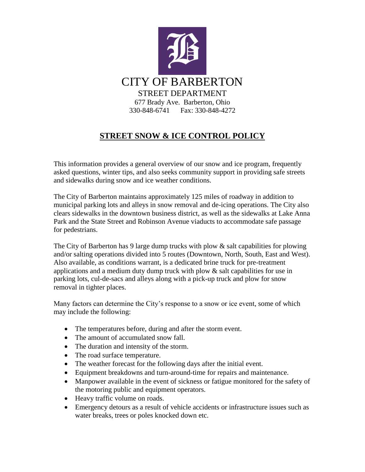

# **STREET SNOW & ICE CONTROL POLICY**

This information provides a general overview of our snow and ice program, frequently asked questions, winter tips, and also seeks community support in providing safe streets and sidewalks during snow and ice weather conditions.

The City of Barberton maintains approximately 125 miles of roadway in addition to municipal parking lots and alleys in snow removal and de-icing operations. The City also clears sidewalks in the downtown business district, as well as the sidewalks at Lake Anna Park and the State Street and Robinson Avenue viaducts to accommodate safe passage for pedestrians.

The City of Barberton has 9 large dump trucks with plow  $\&$  salt capabilities for plowing and/or salting operations divided into 5 routes (Downtown, North, South, East and West). Also available, as conditions warrant, is a dedicated brine truck for pre-treatment applications and a medium duty dump truck with plow  $\&$  salt capabilities for use in parking lots, cul-de-sacs and alleys along with a pick-up truck and plow for snow removal in tighter places.

Many factors can determine the City's response to a snow or ice event, some of which may include the following:

- The temperatures before, during and after the storm event.
- The amount of accumulated snow fall.
- The duration and intensity of the storm.
- The road surface temperature.
- The weather forecast for the following days after the initial event.
- Equipment breakdowns and turn-around-time for repairs and maintenance.
- Manpower available in the event of sickness or fatigue monitored for the safety of the motoring public and equipment operators.
- Heavy traffic volume on roads.
- Emergency detours as a result of vehicle accidents or infrastructure issues such as water breaks, trees or poles knocked down etc.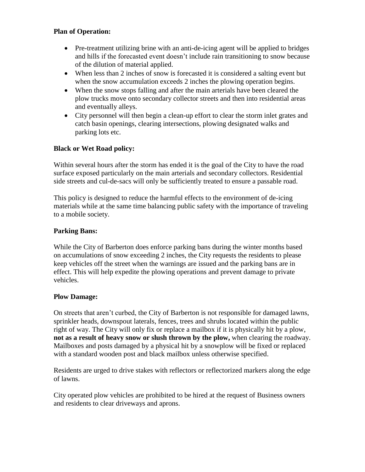### **Plan of Operation:**

- Pre-treatment utilizing brine with an anti-de-icing agent will be applied to bridges and hills if the forecasted event doesn't include rain transitioning to snow because of the dilution of material applied.
- When less than 2 inches of snow is forecasted it is considered a salting event but when the snow accumulation exceeds 2 inches the plowing operation begins.
- When the snow stops falling and after the main arterials have been cleared the plow trucks move onto secondary collector streets and then into residential areas and eventually alleys.
- City personnel will then begin a clean-up effort to clear the storm inlet grates and catch basin openings, clearing intersections, plowing designated walks and parking lots etc.

## **Black or Wet Road policy:**

Within several hours after the storm has ended it is the goal of the City to have the road surface exposed particularly on the main arterials and secondary collectors. Residential side streets and cul-de-sacs will only be sufficiently treated to ensure a passable road.

This policy is designed to reduce the harmful effects to the environment of de-icing materials while at the same time balancing public safety with the importance of traveling to a mobile society.

## **Parking Bans:**

While the City of Barberton does enforce parking bans during the winter months based on accumulations of snow exceeding 2 inches, the City requests the residents to please keep vehicles off the street when the warnings are issued and the parking bans are in effect. This will help expedite the plowing operations and prevent damage to private vehicles.

### **Plow Damage:**

On streets that aren't curbed, the City of Barberton is not responsible for damaged lawns, sprinkler heads, downspout laterals, fences, trees and shrubs located within the public right of way. The City will only fix or replace a mailbox if it is physically hit by a plow, **not as a result of heavy snow or slush thrown by the plow,** when clearing the roadway. Mailboxes and posts damaged by a physical hit by a snowplow will be fixed or replaced with a standard wooden post and black mailbox unless otherwise specified.

Residents are urged to drive stakes with reflectors or reflectorized markers along the edge of lawns.

City operated plow vehicles are prohibited to be hired at the request of Business owners and residents to clear driveways and aprons.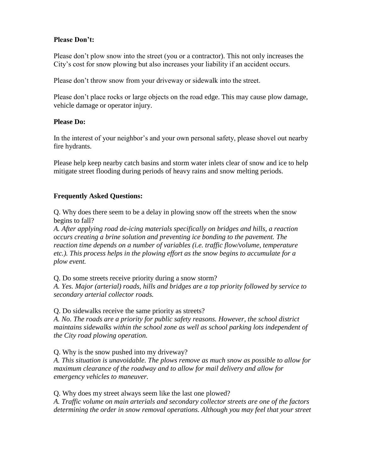#### **Please Don't:**

Please don't plow snow into the street (you or a contractor). This not only increases the City's cost for snow plowing but also increases your liability if an accident occurs.

Please don't throw snow from your driveway or sidewalk into the street.

Please don't place rocks or large objects on the road edge. This may cause plow damage, vehicle damage or operator injury.

#### **Please Do:**

In the interest of your neighbor's and your own personal safety, please shovel out nearby fire hydrants.

Please help keep nearby catch basins and storm water inlets clear of snow and ice to help mitigate street flooding during periods of heavy rains and snow melting periods.

### **Frequently Asked Questions:**

Q. Why does there seem to be a delay in plowing snow off the streets when the snow begins to fall?

*A. After applying road de-icing materials specifically on bridges and hills, a reaction occurs creating a brine solution and preventing ice bonding to the pavement. The reaction time depends on a number of variables (i.e. traffic flow/volume, temperature etc.). This process helps in the plowing effort as the snow begins to accumulate for a plow event.*

Q. Do some streets receive priority during a snow storm?

*A. Yes. Major (arterial) roads, hills and bridges are a top priority followed by service to secondary arterial collector roads.*

Q. Do sidewalks receive the same priority as streets?

*A. No. The roads are a priority for public safety reasons. However, the school district maintains sidewalks within the school zone as well as school parking lots independent of the City road plowing operation.*

Q. Why is the snow pushed into my driveway?

*A. This situation is unavoidable. The plows remove as much snow as possible to allow for maximum clearance of the roadway and to allow for mail delivery and allow for emergency vehicles to maneuver.*

Q. Why does my street always seem like the last one plowed?

*A. Traffic volume on main arterials and secondary collector streets are one of the factors determining the order in snow removal operations. Although you may feel that your street*